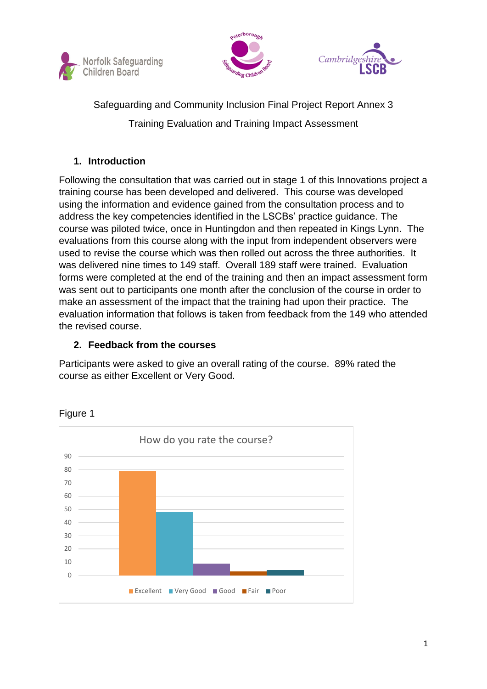





Safeguarding and Community Inclusion Final Project Report Annex 3

Training Evaluation and Training Impact Assessment

# **1. Introduction**

Following the consultation that was carried out in stage 1 of this Innovations project a training course has been developed and delivered. This course was developed using the information and evidence gained from the consultation process and to address the key competencies identified in the LSCBs' practice guidance. The course was piloted twice, once in Huntingdon and then repeated in Kings Lynn. The evaluations from this course along with the input from independent observers were used to revise the course which was then rolled out across the three authorities. It was delivered nine times to 149 staff. Overall 189 staff were trained. Evaluation forms were completed at the end of the training and then an impact assessment form was sent out to participants one month after the conclusion of the course in order to make an assessment of the impact that the training had upon their practice. The evaluation information that follows is taken from feedback from the 149 who attended the revised course.

## **2. Feedback from the courses**

Participants were asked to give an overall rating of the course. 89% rated the course as either Excellent or Very Good.



Figure 1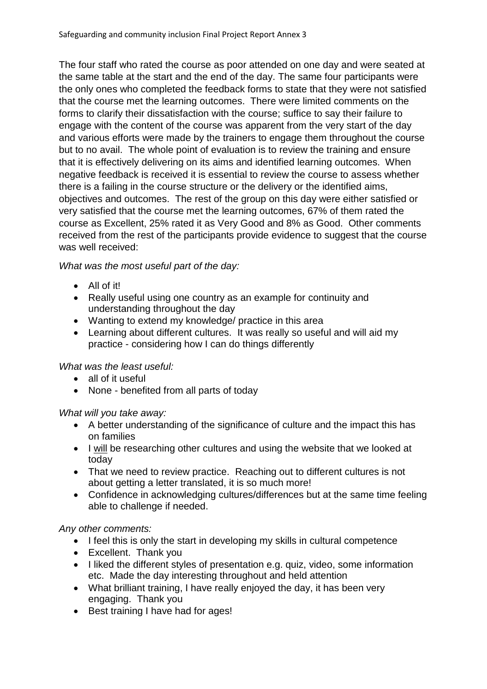The four staff who rated the course as poor attended on one day and were seated at the same table at the start and the end of the day. The same four participants were the only ones who completed the feedback forms to state that they were not satisfied that the course met the learning outcomes. There were limited comments on the forms to clarify their dissatisfaction with the course; suffice to say their failure to engage with the content of the course was apparent from the very start of the day and various efforts were made by the trainers to engage them throughout the course but to no avail. The whole point of evaluation is to review the training and ensure that it is effectively delivering on its aims and identified learning outcomes. When negative feedback is received it is essential to review the course to assess whether there is a failing in the course structure or the delivery or the identified aims, objectives and outcomes. The rest of the group on this day were either satisfied or very satisfied that the course met the learning outcomes, 67% of them rated the course as Excellent, 25% rated it as Very Good and 8% as Good. Other comments received from the rest of the participants provide evidence to suggest that the course was well received:

## *What was the most useful part of the day:*

- All of it!
- Really useful using one country as an example for continuity and understanding throughout the day
- Wanting to extend my knowledge/ practice in this area
- Learning about different cultures. It was really so useful and will aid my practice - considering how I can do things differently

## *What was the least useful:*

- all of it useful
- None benefited from all parts of today

## *What will you take away:*

- A better understanding of the significance of culture and the impact this has on families
- I will be researching other cultures and using the website that we looked at today
- That we need to review practice. Reaching out to different cultures is not about getting a letter translated, it is so much more!
- Confidence in acknowledging cultures/differences but at the same time feeling able to challenge if needed.

## *Any other comments:*

- I feel this is only the start in developing my skills in cultural competence
- Excellent. Thank you
- I liked the different styles of presentation e.g. quiz, video, some information etc. Made the day interesting throughout and held attention
- What brilliant training, I have really enjoyed the day, it has been very engaging. Thank you
- Best training I have had for ages!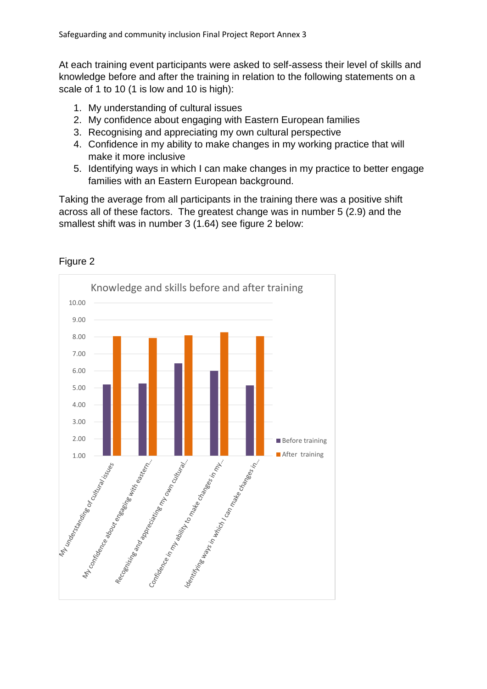At each training event participants were asked to self-assess their level of skills and knowledge before and after the training in relation to the following statements on a scale of 1 to 10 (1 is low and 10 is high):

- 1. My understanding of cultural issues
- 2. My confidence about engaging with Eastern European families
- 3. Recognising and appreciating my own cultural perspective
- 4. Confidence in my ability to make changes in my working practice that will make it more inclusive
- 5. Identifying ways in which I can make changes in my practice to better engage families with an Eastern European background.

Taking the average from all participants in the training there was a positive shift across all of these factors. The greatest change was in number 5 (2.9) and the smallest shift was in number 3 (1.64) see figure 2 below:



Figure 2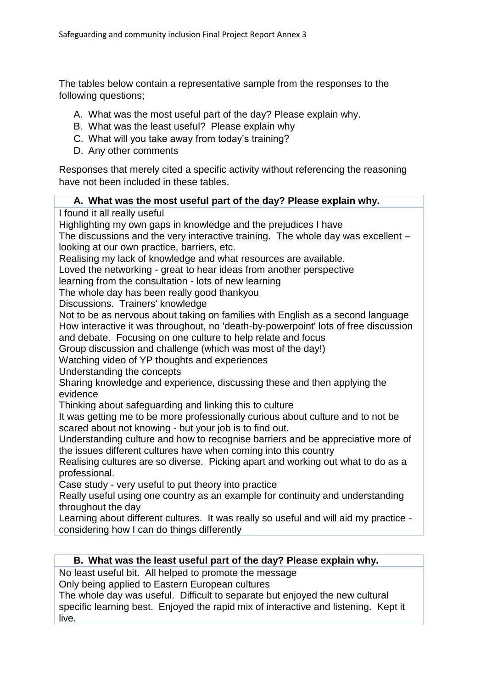The tables below contain a representative sample from the responses to the following questions;

- A. What was the most useful part of the day? Please explain why.
- B. What was the least useful? Please explain why
- C. What will you take away from today's training?
- D. Any other comments

Responses that merely cited a specific activity without referencing the reasoning have not been included in these tables.

#### **A. What was the most useful part of the day? Please explain why.**

I found it all really useful

Highlighting my own gaps in knowledge and the prejudices I have

The discussions and the very interactive training. The whole day was excellent – looking at our own practice, barriers, etc.

Realising my lack of knowledge and what resources are available.

Loved the networking - great to hear ideas from another perspective

learning from the consultation - lots of new learning

The whole day has been really good thankyou

Discussions. Trainers' knowledge

Not to be as nervous about taking on families with English as a second language How interactive it was throughout, no 'death-by-powerpoint' lots of free discussion and debate. Focusing on one culture to help relate and focus

Group discussion and challenge (which was most of the day!)

Watching video of YP thoughts and experiences

Understanding the concepts

Sharing knowledge and experience, discussing these and then applying the evidence

Thinking about safeguarding and linking this to culture

It was getting me to be more professionally curious about culture and to not be scared about not knowing - but your job is to find out.

Understanding culture and how to recognise barriers and be appreciative more of the issues different cultures have when coming into this country

Realising cultures are so diverse. Picking apart and working out what to do as a professional.

Case study - very useful to put theory into practice

Really useful using one country as an example for continuity and understanding throughout the day

Learning about different cultures. It was really so useful and will aid my practice considering how I can do things differently

#### **B. What was the least useful part of the day? Please explain why.**

No least useful bit. All helped to promote the message

Only being applied to Eastern European cultures

The whole day was useful. Difficult to separate but enjoyed the new cultural specific learning best. Enjoyed the rapid mix of interactive and listening. Kept it live.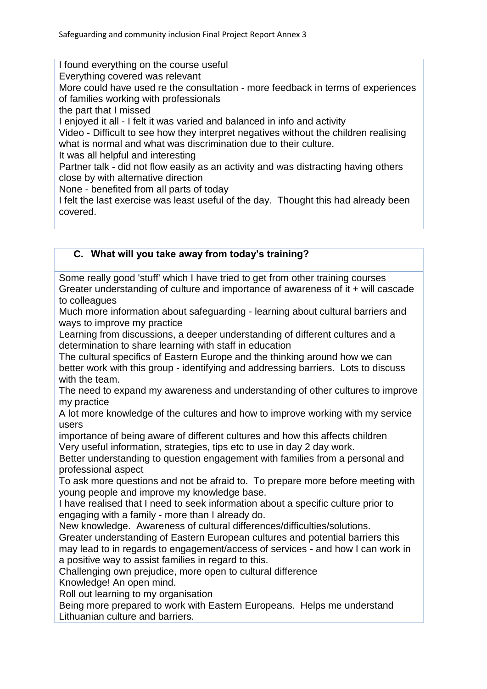I found everything on the course useful

Everything covered was relevant

More could have used re the consultation - more feedback in terms of experiences of families working with professionals

the part that I missed

I enjoyed it all - I felt it was varied and balanced in info and activity

Video - Difficult to see how they interpret negatives without the children realising what is normal and what was discrimination due to their culture.

It was all helpful and interesting

Partner talk - did not flow easily as an activity and was distracting having others close by with alternative direction

None - benefited from all parts of today

I felt the last exercise was least useful of the day. Thought this had already been covered.

## **C. What will you take away from today's training?**

Some really good 'stuff' which I have tried to get from other training courses Greater understanding of culture and importance of awareness of it + will cascade to colleagues

Much more information about safeguarding - learning about cultural barriers and ways to improve my practice

Learning from discussions, a deeper understanding of different cultures and a determination to share learning with staff in education

The cultural specifics of Eastern Europe and the thinking around how we can better work with this group - identifying and addressing barriers. Lots to discuss with the team.

The need to expand my awareness and understanding of other cultures to improve my practice

A lot more knowledge of the cultures and how to improve working with my service users

importance of being aware of different cultures and how this affects children Very useful information, strategies, tips etc to use in day 2 day work.

Better understanding to question engagement with families from a personal and professional aspect

To ask more questions and not be afraid to. To prepare more before meeting with young people and improve my knowledge base.

I have realised that I need to seek information about a specific culture prior to engaging with a family - more than I already do.

New knowledge. Awareness of cultural differences/difficulties/solutions.

Greater understanding of Eastern European cultures and potential barriers this may lead to in regards to engagement/access of services - and how I can work in a positive way to assist families in regard to this.

Challenging own prejudice, more open to cultural difference

Knowledge! An open mind.

Roll out learning to my organisation

Being more prepared to work with Eastern Europeans. Helps me understand Lithuanian culture and barriers.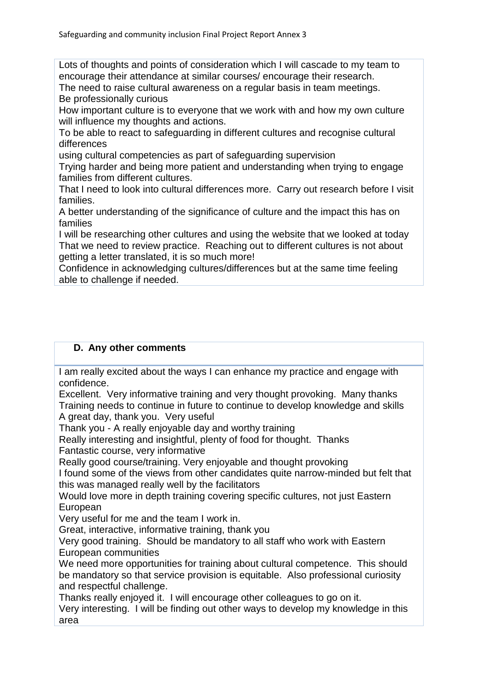Lots of thoughts and points of consideration which I will cascade to my team to encourage their attendance at similar courses/ encourage their research.

The need to raise cultural awareness on a regular basis in team meetings. Be professionally curious

How important culture is to everyone that we work with and how my own culture will influence my thoughts and actions.

To be able to react to safeguarding in different cultures and recognise cultural differences

using cultural competencies as part of safeguarding supervision

Trying harder and being more patient and understanding when trying to engage families from different cultures.

That I need to look into cultural differences more. Carry out research before I visit families.

A better understanding of the significance of culture and the impact this has on families

I will be researching other cultures and using the website that we looked at today That we need to review practice. Reaching out to different cultures is not about getting a letter translated, it is so much more!

Confidence in acknowledging cultures/differences but at the same time feeling able to challenge if needed.

#### **D. Any other comments**

I am really excited about the ways I can enhance my practice and engage with confidence.

Excellent. Very informative training and very thought provoking. Many thanks Training needs to continue in future to continue to develop knowledge and skills A great day, thank you. Very useful

Thank you - A really enjoyable day and worthy training

Really interesting and insightful, plenty of food for thought. Thanks Fantastic course, very informative

Really good course/training. Very enjoyable and thought provoking

I found some of the views from other candidates quite narrow-minded but felt that this was managed really well by the facilitators

Would love more in depth training covering specific cultures, not just Eastern European

Very useful for me and the team I work in.

Great, interactive, informative training, thank you

Very good training. Should be mandatory to all staff who work with Eastern European communities

We need more opportunities for training about cultural competence. This should be mandatory so that service provision is equitable. Also professional curiosity and respectful challenge.

Thanks really enjoyed it. I will encourage other colleagues to go on it.

Very interesting. I will be finding out other ways to develop my knowledge in this area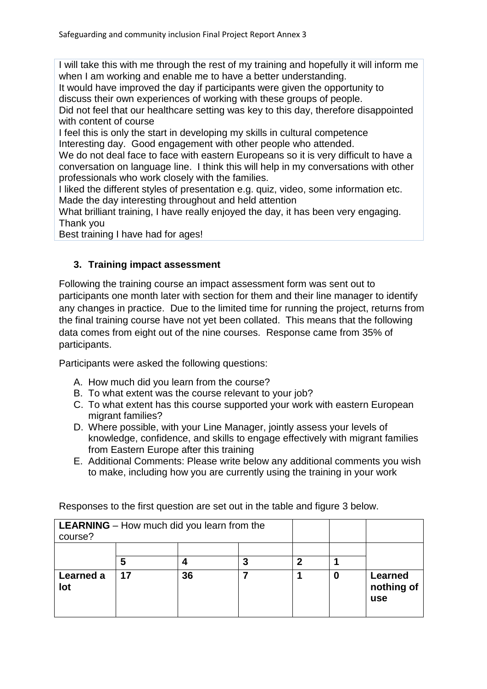I will take this with me through the rest of my training and hopefully it will inform me when I am working and enable me to have a better understanding.

It would have improved the day if participants were given the opportunity to discuss their own experiences of working with these groups of people.

Did not feel that our healthcare setting was key to this day, therefore disappointed with content of course

I feel this is only the start in developing my skills in cultural competence Interesting day. Good engagement with other people who attended.

We do not deal face to face with eastern Europeans so it is very difficult to have a conversation on language line. I think this will help in my conversations with other professionals who work closely with the families.

I liked the different styles of presentation e.g. quiz, video, some information etc. Made the day interesting throughout and held attention

What brilliant training, I have really enjoyed the day, it has been very engaging. Thank you

Best training I have had for ages!

## **3. Training impact assessment**

Following the training course an impact assessment form was sent out to participants one month later with section for them and their line manager to identify any changes in practice. Due to the limited time for running the project, returns from the final training course have not yet been collated. This means that the following data comes from eight out of the nine courses. Response came from 35% of participants.

Participants were asked the following questions:

- A. How much did you learn from the course?
- B. To what extent was the course relevant to your job?
- C. To what extent has this course supported your work with eastern European migrant families?
- D. Where possible, with your Line Manager, jointly assess your levels of knowledge, confidence, and skills to engage effectively with migrant families from Eastern Europe after this training
- E. Additional Comments: Please write below any additional comments you wish to make, including how you are currently using the training in your work

| <b>LEARNING</b> – How much did you learn from the |    |    |   |   |   |                              |
|---------------------------------------------------|----|----|---|---|---|------------------------------|
| course?                                           |    |    |   |   |   |                              |
|                                                   |    |    |   |   |   |                              |
|                                                   | 5  |    | 3 | 2 |   |                              |
| Learned a<br>lot                                  | 17 | 36 |   |   | O | Learned<br>nothing of<br>use |

Responses to the first question are set out in the table and figure 3 below.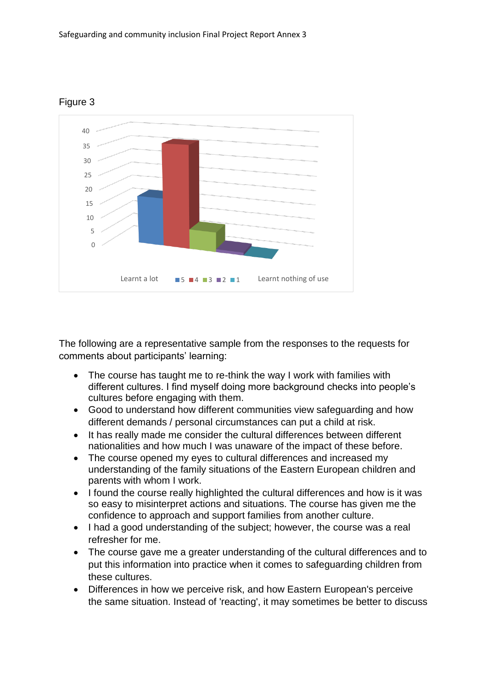

## Figure 3

The following are a representative sample from the responses to the requests for comments about participants' learning:

- The course has taught me to re-think the way I work with families with different cultures. I find myself doing more background checks into people's cultures before engaging with them.
- Good to understand how different communities view safeguarding and how different demands / personal circumstances can put a child at risk.
- It has really made me consider the cultural differences between different nationalities and how much I was unaware of the impact of these before.
- The course opened my eyes to cultural differences and increased my understanding of the family situations of the Eastern European children and parents with whom I work.
- I found the course really highlighted the cultural differences and how is it was so easy to misinterpret actions and situations. The course has given me the confidence to approach and support families from another culture.
- I had a good understanding of the subject; however, the course was a real refresher for me.
- The course gave me a greater understanding of the cultural differences and to put this information into practice when it comes to safeguarding children from these cultures.
- Differences in how we perceive risk, and how Eastern European's perceive the same situation. Instead of 'reacting', it may sometimes be better to discuss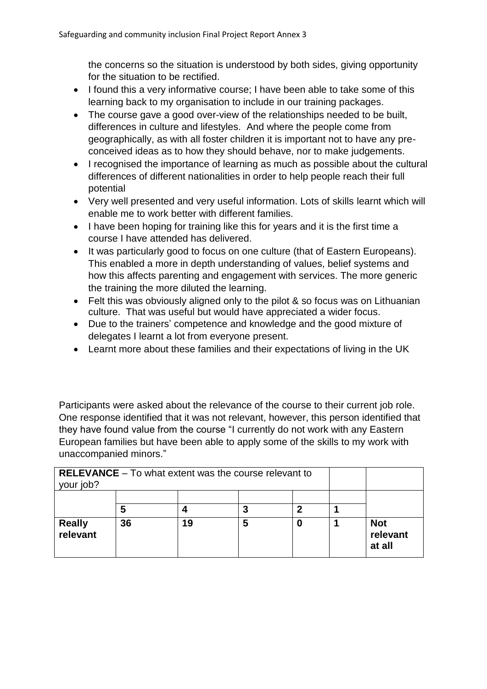the concerns so the situation is understood by both sides, giving opportunity for the situation to be rectified.

- I found this a very informative course; I have been able to take some of this learning back to my organisation to include in our training packages.
- The course gave a good over-view of the relationships needed to be built, differences in culture and lifestyles. And where the people come from geographically, as with all foster children it is important not to have any preconceived ideas as to how they should behave, nor to make judgements.
- I recognised the importance of learning as much as possible about the cultural differences of different nationalities in order to help people reach their full potential
- Very well presented and very useful information. Lots of skills learnt which will enable me to work better with different families.
- I have been hoping for training like this for years and it is the first time a course I have attended has delivered.
- It was particularly good to focus on one culture (that of Eastern Europeans). This enabled a more in depth understanding of values, belief systems and how this affects parenting and engagement with services. The more generic the training the more diluted the learning.
- Felt this was obviously aligned only to the pilot & so focus was on Lithuanian culture. That was useful but would have appreciated a wider focus.
- Due to the trainers' competence and knowledge and the good mixture of delegates I learnt a lot from everyone present.
- Learnt more about these families and their expectations of living in the UK

Participants were asked about the relevance of the course to their current job role. One response identified that it was not relevant, however, this person identified that they have found value from the course "I currently do not work with any Eastern European families but have been able to apply some of the skills to my work with unaccompanied minors."

| <b>RELEVANCE</b> – To what extent was the course relevant to<br>your job? |    |    |   |   |                                  |
|---------------------------------------------------------------------------|----|----|---|---|----------------------------------|
|                                                                           | 5  |    | 3 | 2 |                                  |
| <b>Really</b><br>relevant                                                 | 36 | 19 | 5 | 0 | <b>Not</b><br>relevant<br>at all |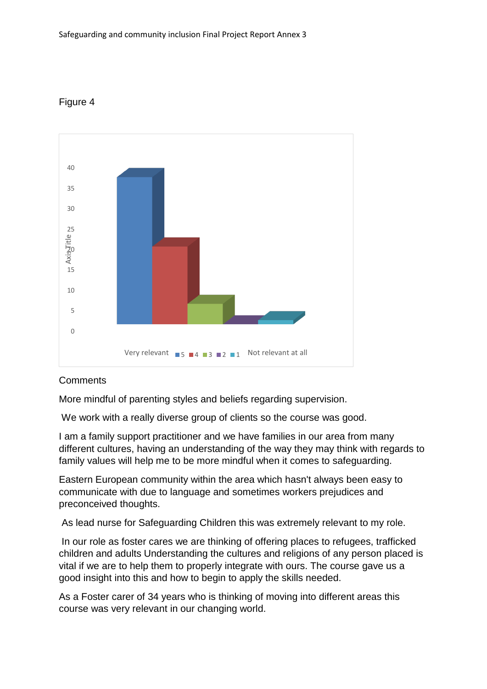



## **Comments**

More mindful of parenting styles and beliefs regarding supervision.

We work with a really diverse group of clients so the course was good.

I am a family support practitioner and we have families in our area from many different cultures, having an understanding of the way they may think with regards to family values will help me to be more mindful when it comes to safeguarding.

Eastern European community within the area which hasn't always been easy to communicate with due to language and sometimes workers prejudices and preconceived thoughts.

As lead nurse for Safeguarding Children this was extremely relevant to my role.

In our role as foster cares we are thinking of offering places to refugees, trafficked children and adults Understanding the cultures and religions of any person placed is vital if we are to help them to properly integrate with ours. The course gave us a good insight into this and how to begin to apply the skills needed.

As a Foster carer of 34 years who is thinking of moving into different areas this course was very relevant in our changing world.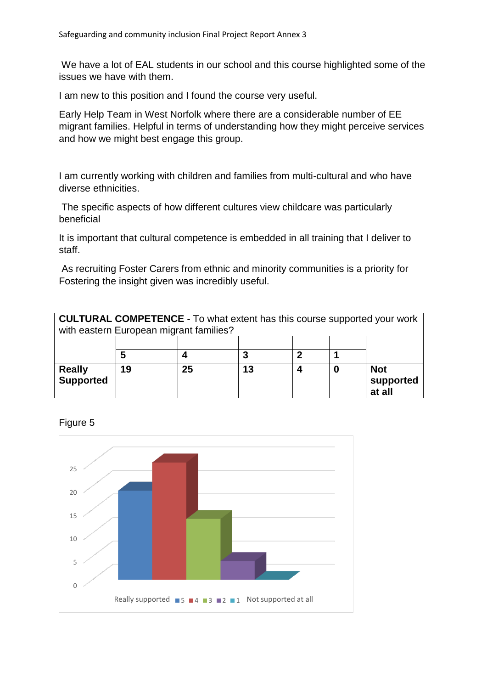We have a lot of EAL students in our school and this course highlighted some of the issues we have with them.

I am new to this position and I found the course very useful.

Early Help Team in West Norfolk where there are a considerable number of EE migrant families. Helpful in terms of understanding how they might perceive services and how we might best engage this group.

I am currently working with children and families from multi-cultural and who have diverse ethnicities.

The specific aspects of how different cultures view childcare was particularly beneficial

It is important that cultural competence is embedded in all training that I deliver to staff.

As recruiting Foster Carers from ethnic and minority communities is a priority for Fostering the insight given was incredibly useful.

| <b>CULTURAL COMPETENCE - To what extent has this course supported your work</b><br>with eastern European migrant families? |    |    |    |  |  |                                   |
|----------------------------------------------------------------------------------------------------------------------------|----|----|----|--|--|-----------------------------------|
|                                                                                                                            |    |    |    |  |  |                                   |
| <b>Really</b><br><b>Supported</b>                                                                                          | 19 | 25 | 13 |  |  | <b>Not</b><br>supported<br>at all |

Figure 5

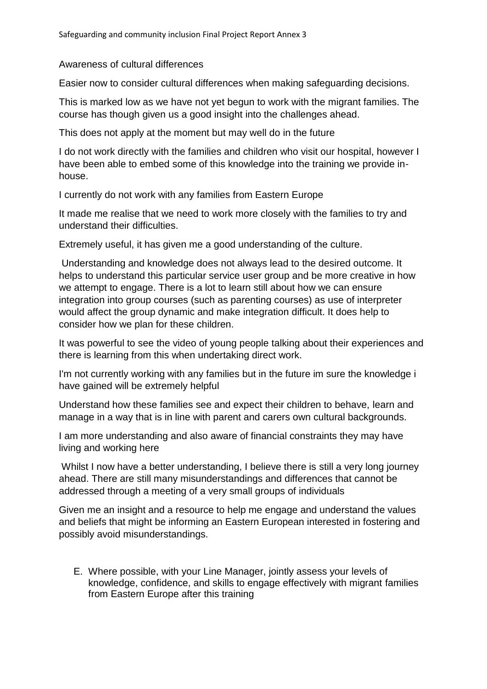#### Awareness of cultural differences

Easier now to consider cultural differences when making safeguarding decisions.

This is marked low as we have not yet begun to work with the migrant families. The course has though given us a good insight into the challenges ahead.

This does not apply at the moment but may well do in the future

I do not work directly with the families and children who visit our hospital, however I have been able to embed some of this knowledge into the training we provide inhouse.

I currently do not work with any families from Eastern Europe

It made me realise that we need to work more closely with the families to try and understand their difficulties.

Extremely useful, it has given me a good understanding of the culture.

Understanding and knowledge does not always lead to the desired outcome. It helps to understand this particular service user group and be more creative in how we attempt to engage. There is a lot to learn still about how we can ensure integration into group courses (such as parenting courses) as use of interpreter would affect the group dynamic and make integration difficult. It does help to consider how we plan for these children.

It was powerful to see the video of young people talking about their experiences and there is learning from this when undertaking direct work.

I'm not currently working with any families but in the future im sure the knowledge i have gained will be extremely helpful

Understand how these families see and expect their children to behave, learn and manage in a way that is in line with parent and carers own cultural backgrounds.

I am more understanding and also aware of financial constraints they may have living and working here

Whilst I now have a better understanding, I believe there is still a very long journey ahead. There are still many misunderstandings and differences that cannot be addressed through a meeting of a very small groups of individuals

Given me an insight and a resource to help me engage and understand the values and beliefs that might be informing an Eastern European interested in fostering and possibly avoid misunderstandings.

E. Where possible, with your Line Manager, jointly assess your levels of knowledge, confidence, and skills to engage effectively with migrant families from Eastern Europe after this training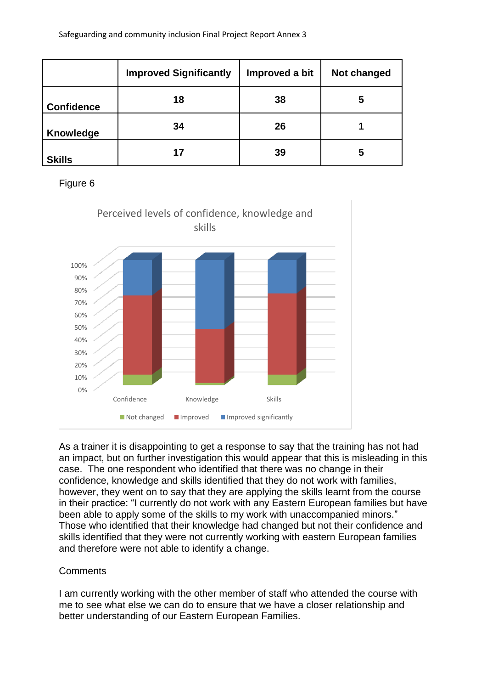|                   | <b>Improved Significantly</b> | Improved a bit | Not changed |
|-------------------|-------------------------------|----------------|-------------|
| <b>Confidence</b> | 18                            | 38             | 5           |
| Knowledge         | 34                            | 26             |             |
| <b>Skills</b>     | 17                            | 39             | 5           |

#### Figure 6



As a trainer it is disappointing to get a response to say that the training has not had an impact, but on further investigation this would appear that this is misleading in this case. The one respondent who identified that there was no change in their confidence, knowledge and skills identified that they do not work with families, however, they went on to say that they are applying the skills learnt from the course in their practice: "I currently do not work with any Eastern European families but have been able to apply some of the skills to my work with unaccompanied minors." Those who identified that their knowledge had changed but not their confidence and skills identified that they were not currently working with eastern European families and therefore were not able to identify a change.

#### **Comments**

I am currently working with the other member of staff who attended the course with me to see what else we can do to ensure that we have a closer relationship and better understanding of our Eastern European Families.